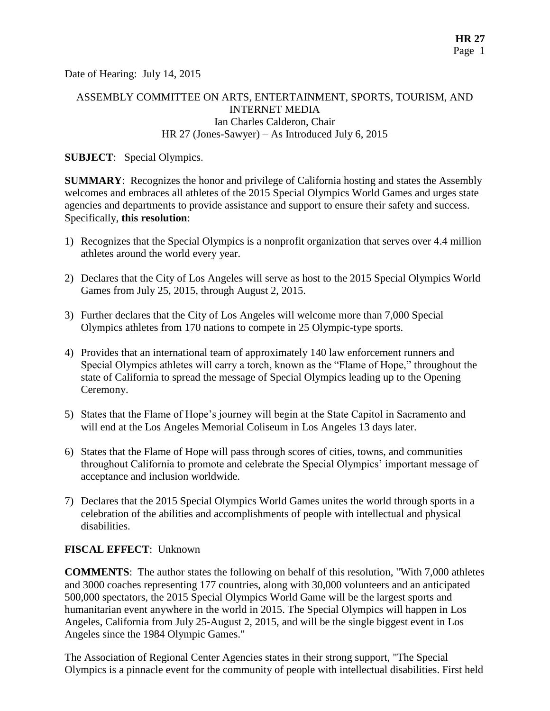Date of Hearing: July 14, 2015

# ASSEMBLY COMMITTEE ON ARTS, ENTERTAINMENT, SPORTS, TOURISM, AND INTERNET MEDIA Ian Charles Calderon, Chair HR 27 (Jones-Sawyer) – As Introduced July 6, 2015

**SUBJECT**: Special Olympics.

**SUMMARY**: Recognizes the honor and privilege of California hosting and states the Assembly welcomes and embraces all athletes of the 2015 Special Olympics World Games and urges state agencies and departments to provide assistance and support to ensure their safety and success. Specifically, **this resolution**:

- 1) Recognizes that the Special Olympics is a nonprofit organization that serves over 4.4 million athletes around the world every year.
- 2) Declares that the City of Los Angeles will serve as host to the 2015 Special Olympics World Games from July 25, 2015, through August 2, 2015.
- 3) Further declares that the City of Los Angeles will welcome more than 7,000 Special Olympics athletes from 170 nations to compete in 25 Olympic-type sports.
- 4) Provides that an international team of approximately 140 law enforcement runners and Special Olympics athletes will carry a torch, known as the "Flame of Hope," throughout the state of California to spread the message of Special Olympics leading up to the Opening Ceremony.
- 5) States that the Flame of Hope's journey will begin at the State Capitol in Sacramento and will end at the Los Angeles Memorial Coliseum in Los Angeles 13 days later.
- 6) States that the Flame of Hope will pass through scores of cities, towns, and communities throughout California to promote and celebrate the Special Olympics' important message of acceptance and inclusion worldwide.
- 7) Declares that the 2015 Special Olympics World Games unites the world through sports in a celebration of the abilities and accomplishments of people with intellectual and physical disabilities.

# **FISCAL EFFECT**: Unknown

**COMMENTS**: The author states the following on behalf of this resolution, "With 7,000 athletes and 3000 coaches representing 177 countries, along with 30,000 volunteers and an anticipated 500,000 spectators, the 2015 Special Olympics World Game will be the largest sports and humanitarian event anywhere in the world in 2015. The Special Olympics will happen in Los Angeles, California from July 25-August 2, 2015, and will be the single biggest event in Los Angeles since the 1984 Olympic Games."

The Association of Regional Center Agencies states in their strong support, "The Special Olympics is a pinnacle event for the community of people with intellectual disabilities. First held